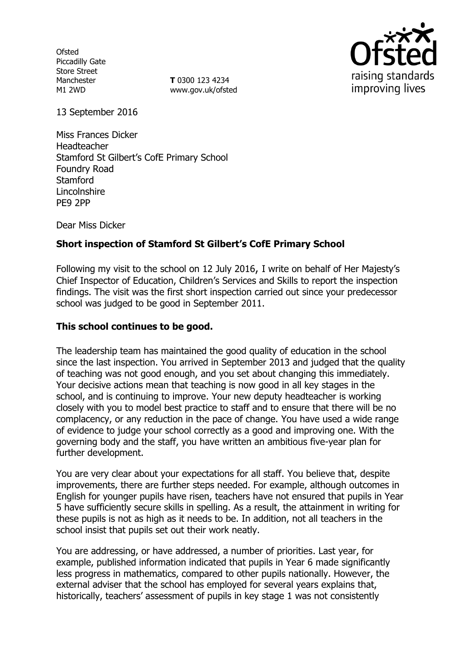**Ofsted** Piccadilly Gate Store Street Manchester M1 2WD

**T** 0300 123 4234 www.gov.uk/ofsted



13 September 2016

Miss Frances Dicker Headteacher Stamford St Gilbert's CofE Primary School Foundry Road **Stamford** Lincolnshire PE9 2PP

Dear Miss Dicker

# **Short inspection of Stamford St Gilbert's CofE Primary School**

Following my visit to the school on 12 July 2016, I write on behalf of Her Majesty's Chief Inspector of Education, Children's Services and Skills to report the inspection findings. The visit was the first short inspection carried out since your predecessor school was judged to be good in September 2011.

### **This school continues to be good.**

The leadership team has maintained the good quality of education in the school since the last inspection. You arrived in September 2013 and judged that the quality of teaching was not good enough, and you set about changing this immediately. Your decisive actions mean that teaching is now good in all key stages in the school, and is continuing to improve. Your new deputy headteacher is working closely with you to model best practice to staff and to ensure that there will be no complacency, or any reduction in the pace of change. You have used a wide range of evidence to judge your school correctly as a good and improving one. With the governing body and the staff, you have written an ambitious five-year plan for further development.

You are very clear about your expectations for all staff. You believe that, despite improvements, there are further steps needed. For example, although outcomes in English for younger pupils have risen, teachers have not ensured that pupils in Year 5 have sufficiently secure skills in spelling. As a result, the attainment in writing for these pupils is not as high as it needs to be. In addition, not all teachers in the school insist that pupils set out their work neatly.

You are addressing, or have addressed, a number of priorities. Last year, for example, published information indicated that pupils in Year 6 made significantly less progress in mathematics, compared to other pupils nationally. However, the external adviser that the school has employed for several years explains that, historically, teachers' assessment of pupils in key stage 1 was not consistently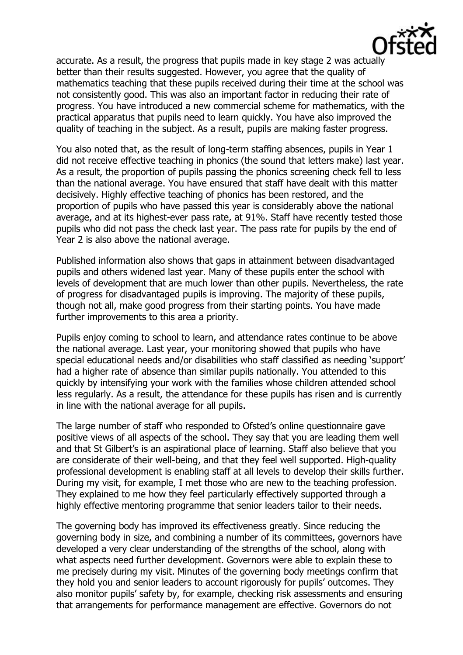

accurate. As a result, the progress that pupils made in key stage 2 was actually better than their results suggested. However, you agree that the quality of mathematics teaching that these pupils received during their time at the school was not consistently good. This was also an important factor in reducing their rate of progress. You have introduced a new commercial scheme for mathematics, with the practical apparatus that pupils need to learn quickly. You have also improved the quality of teaching in the subject. As a result, pupils are making faster progress.

You also noted that, as the result of long-term staffing absences, pupils in Year 1 did not receive effective teaching in phonics (the sound that letters make) last year. As a result, the proportion of pupils passing the phonics screening check fell to less than the national average. You have ensured that staff have dealt with this matter decisively. Highly effective teaching of phonics has been restored, and the proportion of pupils who have passed this year is considerably above the national average, and at its highest-ever pass rate, at 91%. Staff have recently tested those pupils who did not pass the check last year. The pass rate for pupils by the end of Year 2 is also above the national average.

Published information also shows that gaps in attainment between disadvantaged pupils and others widened last year. Many of these pupils enter the school with levels of development that are much lower than other pupils. Nevertheless, the rate of progress for disadvantaged pupils is improving. The majority of these pupils, though not all, make good progress from their starting points. You have made further improvements to this area a priority.

Pupils enjoy coming to school to learn, and attendance rates continue to be above the national average. Last year, your monitoring showed that pupils who have special educational needs and/or disabilities who staff classified as needing 'support' had a higher rate of absence than similar pupils nationally. You attended to this quickly by intensifying your work with the families whose children attended school less regularly. As a result, the attendance for these pupils has risen and is currently in line with the national average for all pupils.

The large number of staff who responded to Ofsted's online questionnaire gave positive views of all aspects of the school. They say that you are leading them well and that St Gilbert's is an aspirational place of learning. Staff also believe that you are considerate of their well-being, and that they feel well supported. High-quality professional development is enabling staff at all levels to develop their skills further. During my visit, for example, I met those who are new to the teaching profession. They explained to me how they feel particularly effectively supported through a highly effective mentoring programme that senior leaders tailor to their needs.

The governing body has improved its effectiveness greatly. Since reducing the governing body in size, and combining a number of its committees, governors have developed a very clear understanding of the strengths of the school, along with what aspects need further development. Governors were able to explain these to me precisely during my visit. Minutes of the governing body meetings confirm that they hold you and senior leaders to account rigorously for pupils' outcomes. They also monitor pupils' safety by, for example, checking risk assessments and ensuring that arrangements for performance management are effective. Governors do not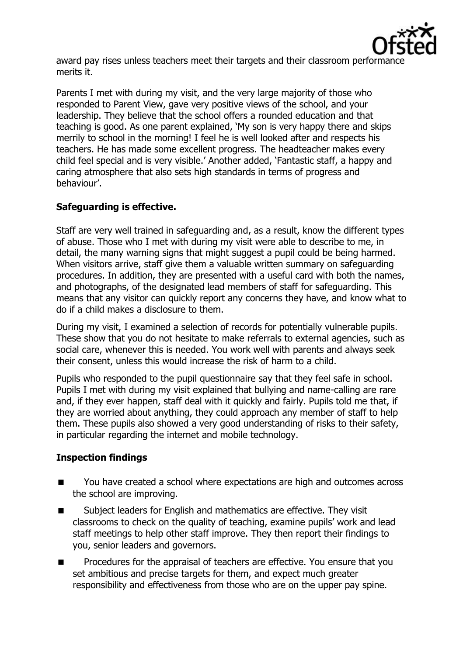

award pay rises unless teachers meet their targets and their classroom performance merits it.

Parents I met with during my visit, and the very large majority of those who responded to Parent View, gave very positive views of the school, and your leadership. They believe that the school offers a rounded education and that teaching is good. As one parent explained, 'My son is very happy there and skips merrily to school in the morning! I feel he is well looked after and respects his teachers. He has made some excellent progress. The headteacher makes every child feel special and is very visible.' Another added, 'Fantastic staff, a happy and caring atmosphere that also sets high standards in terms of progress and behaviour'.

# **Safeguarding is effective.**

Staff are very well trained in safeguarding and, as a result, know the different types of abuse. Those who I met with during my visit were able to describe to me, in detail, the many warning signs that might suggest a pupil could be being harmed. When visitors arrive, staff give them a valuable written summary on safeguarding procedures. In addition, they are presented with a useful card with both the names, and photographs, of the designated lead members of staff for safeguarding. This means that any visitor can quickly report any concerns they have, and know what to do if a child makes a disclosure to them.

During my visit, I examined a selection of records for potentially vulnerable pupils. These show that you do not hesitate to make referrals to external agencies, such as social care, whenever this is needed. You work well with parents and always seek their consent, unless this would increase the risk of harm to a child.

Pupils who responded to the pupil questionnaire say that they feel safe in school. Pupils I met with during my visit explained that bullying and name-calling are rare and, if they ever happen, staff deal with it quickly and fairly. Pupils told me that, if they are worried about anything, they could approach any member of staff to help them. These pupils also showed a very good understanding of risks to their safety, in particular regarding the internet and mobile technology.

# **Inspection findings**

- You have created a school where expectations are high and outcomes across the school are improving.
- Subject leaders for English and mathematics are effective. They visit classrooms to check on the quality of teaching, examine pupils' work and lead staff meetings to help other staff improve. They then report their findings to you, senior leaders and governors.
- **Procedures for the appraisal of teachers are effective. You ensure that you** set ambitious and precise targets for them, and expect much greater responsibility and effectiveness from those who are on the upper pay spine.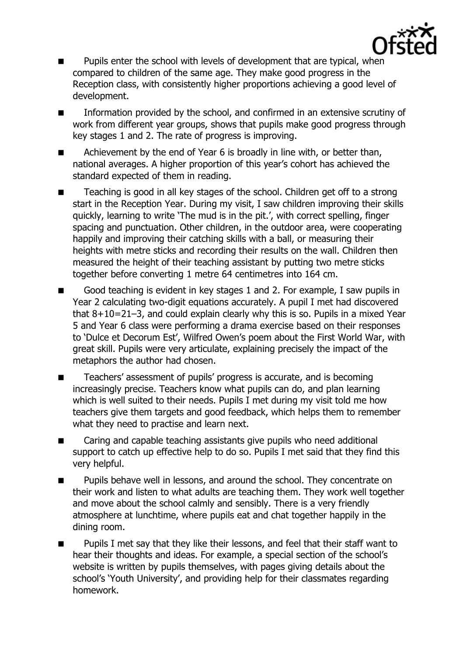

- **Pupils enter the school with levels of development that are typical, when** compared to children of the same age. They make good progress in the Reception class, with consistently higher proportions achieving a good level of development.
- **Information provided by the school, and confirmed in an extensive scrutiny of** work from different year groups, shows that pupils make good progress through key stages 1 and 2. The rate of progress is improving.
- Achievement by the end of Year 6 is broadly in line with, or better than, national averages. A higher proportion of this year's cohort has achieved the standard expected of them in reading.
- Teaching is good in all key stages of the school. Children get off to a strong start in the Reception Year. During my visit, I saw children improving their skills quickly, learning to write 'The mud is in the pit.', with correct spelling, finger spacing and punctuation. Other children, in the outdoor area, were cooperating happily and improving their catching skills with a ball, or measuring their heights with metre sticks and recording their results on the wall. Children then measured the height of their teaching assistant by putting two metre sticks together before converting 1 metre 64 centimetres into 164 cm.
- Good teaching is evident in key stages 1 and 2. For example, I saw pupils in Year 2 calculating two-digit equations accurately. A pupil I met had discovered that 8+10=21–3, and could explain clearly why this is so. Pupils in a mixed Year 5 and Year 6 class were performing a drama exercise based on their responses to 'Dulce et Decorum Est', Wilfred Owen's poem about the First World War, with great skill. Pupils were very articulate, explaining precisely the impact of the metaphors the author had chosen.
- Teachers' assessment of pupils' progress is accurate, and is becoming increasingly precise. Teachers know what pupils can do, and plan learning which is well suited to their needs. Pupils I met during my visit told me how teachers give them targets and good feedback, which helps them to remember what they need to practise and learn next.
- Caring and capable teaching assistants give pupils who need additional support to catch up effective help to do so. Pupils I met said that they find this very helpful.
- **Pupils behave well in lessons, and around the school. They concentrate on** their work and listen to what adults are teaching them. They work well together and move about the school calmly and sensibly. There is a very friendly atmosphere at lunchtime, where pupils eat and chat together happily in the dining room.
- Pupils I met say that they like their lessons, and feel that their staff want to hear their thoughts and ideas. For example, a special section of the school's website is written by pupils themselves, with pages giving details about the school's 'Youth University', and providing help for their classmates regarding homework.